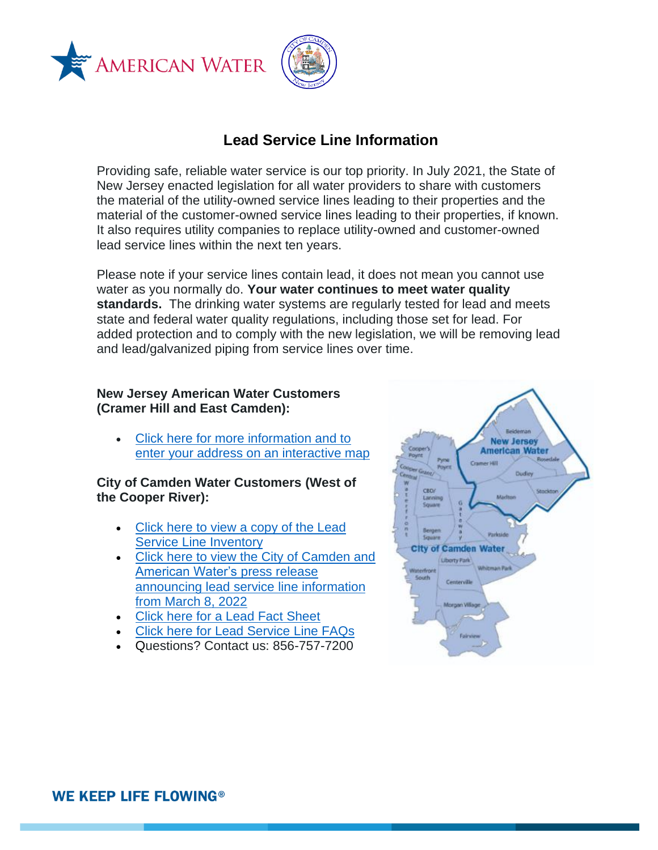



# **Lead Service Line Information**

Providing safe, reliable water service is our top priority. In July 2021, the State of New Jersey enacted legislation for all water providers to share with customers the material of the utility-owned service lines leading to their properties and the material of the customer-owned service lines leading to their properties, if known. It also requires utility companies to replace utility-owned and customer-owned lead service lines within the next ten years.

Please note if your service lines contain lead, it does not mean you cannot use water as you normally do. **Your water continues to meet water quality standards.** The drinking water systems are regularly tested for lead and meets state and federal water quality regulations, including those set for lead. For added protection and to comply with the new legislation, we will be removing lead and lead/galvanized piping from service lines over time.

### **New Jersey American Water Customers (Cramer Hill and East Camden):**

• [Click here for more information and to](https://www.amwater.com/njaw/Water-Quality/Lead-and-Drinking-Water/)  [enter your address on an interactive map](https://www.amwater.com/njaw/Water-Quality/Lead-and-Drinking-Water/)

### **City of Camden Water Customers (West of the Cooper River):**

- [Click here to view a copy of the Lead](https://www.amwater.com/corp/resources/PDF/Products-Services/2022.01.19_PWSIDNJ0408001_LSLI_Report_Website_Version.pdf)  [Service Line Inventory](https://www.amwater.com/corp/resources/PDF/Products-Services/2022.01.19_PWSIDNJ0408001_LSLI_Report_Website_Version.pdf)
- [Click here to view the City of Camden and](https://www.amwater.com/press-room/press-releases/corporate/city-of-camden-and-american-water-educate-customers-on-service-line-materials)  [American Water's press release](https://www.amwater.com/press-room/press-releases/corporate/city-of-camden-and-american-water-educate-customers-on-service-line-materials)  [announcing lead service line information](https://www.amwater.com/press-room/press-releases/corporate/city-of-camden-and-american-water-educate-customers-on-service-line-materials)  [from March 8, 2022](https://www.amwater.com/press-room/press-releases/corporate/city-of-camden-and-american-water-educate-customers-on-service-line-materials)
- [Click here for a Lead Fact Sheet](https://www.amwater.com/corp/resources/PDF/Products-Services/Lead%20Fact%20Sheet_Camden_2.2022.pdf)
- [Click here for Lead Service Line FAQs](https://www.amwater.com/corp/resources/PDF/AW_Camden_LSL%20FAQ%203922.pdf)
- Questions? Contact us: 856-757-7200